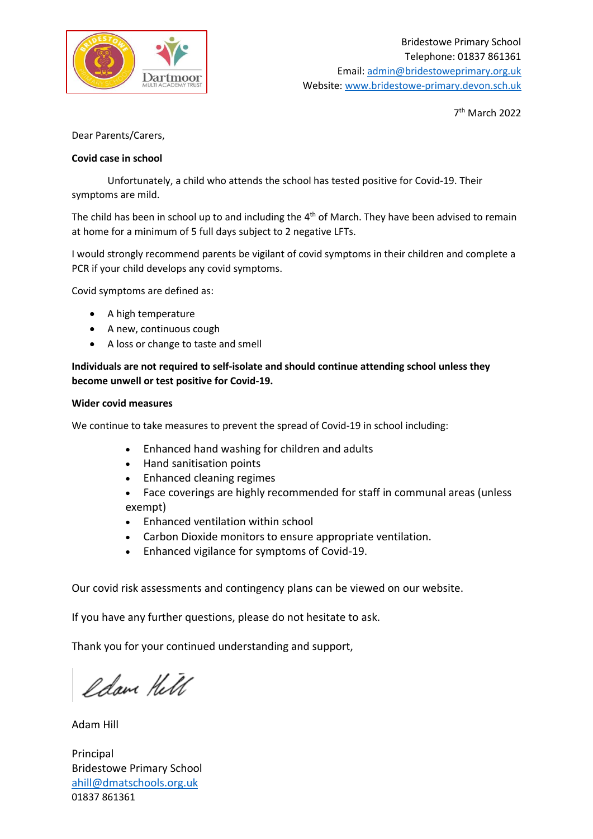

7 th March 2022

Dear Parents/Carers,

## **Covid case in school**

Unfortunately, a child who attends the school has tested positive for Covid-19. Their symptoms are mild.

The child has been in school up to and including the 4<sup>th</sup> of March. They have been advised to remain at home for a minimum of 5 full days subject to 2 negative LFTs.

I would strongly recommend parents be vigilant of covid symptoms in their children and complete a PCR if your child develops any covid symptoms.

Covid symptoms are defined as:

- A high temperature
- A new, continuous cough
- A loss or change to taste and smell

**Individuals are not required to self-isolate and should continue attending school unless they become unwell or test positive for Covid-19.** 

## **Wider covid measures**

We continue to take measures to prevent the spread of Covid-19 in school including:

- Enhanced hand washing for children and adults
- Hand sanitisation points
- Enhanced cleaning regimes
- Face coverings are highly recommended for staff in communal areas (unless exempt)
- Enhanced ventilation within school
- Carbon Dioxide monitors to ensure appropriate ventilation.
- Enhanced vigilance for symptoms of Covid-19.

Our covid risk assessments and contingency plans can be viewed on our website.

If you have any further questions, please do not hesitate to ask.

Thank you for your continued understanding and support,

Idam Hell

Adam Hill

Principal Bridestowe Primary School [ahill@dmatschools.org.uk](mailto:ahill@dmatschools.org.uk) 01837 861361